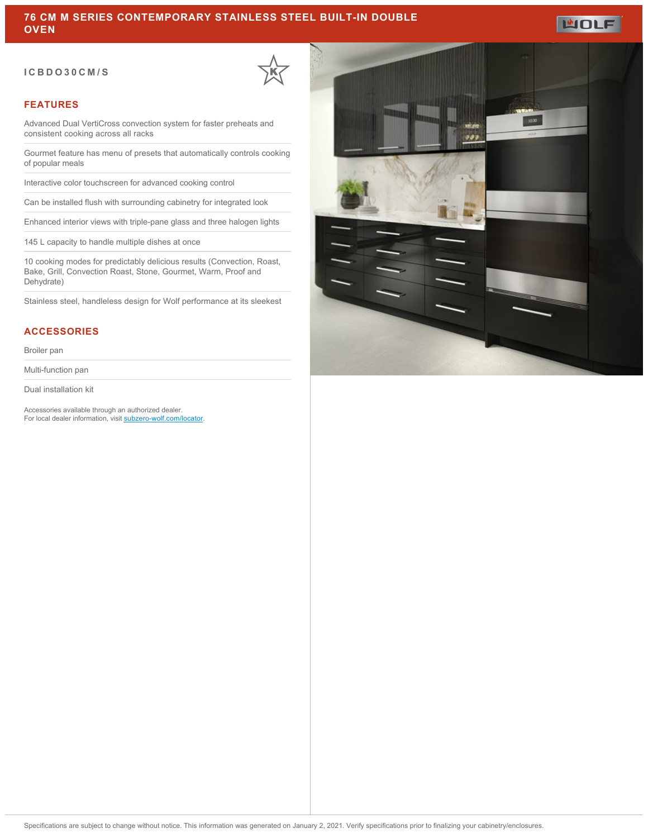#### **ICBDO30CM/S**



#### **FEATURES**

Advanced Dual VertiCross convection system for faster preheats and consistent cooking across all racks

Gourmet feature has menu of presets that automatically controls cooking of popular meals

Interactive color touchscreen for advanced cooking control

Can be installed flush with surrounding cabinetry for integrated look

Enhanced interior views with triple-pane glass and three halogen lights

145 L capacity to handle multiple dishes at once

10 cooking modes for predictably delicious results (Convection, Roast, Bake, Grill, Convection Roast, Stone, Gourmet, Warm, Proof and Dehydrate)

Stainless steel, handleless design for Wolf performance at its sleekest

### **ACCESSORIES**

Broiler pan

Multi-function pan

Dual installation kit

Accessories available through an authorized dealer. For local dealer information, visit [subzero-wolf.com/locator.](http://www.subzero-wolf.com/locator)



**MOLF**